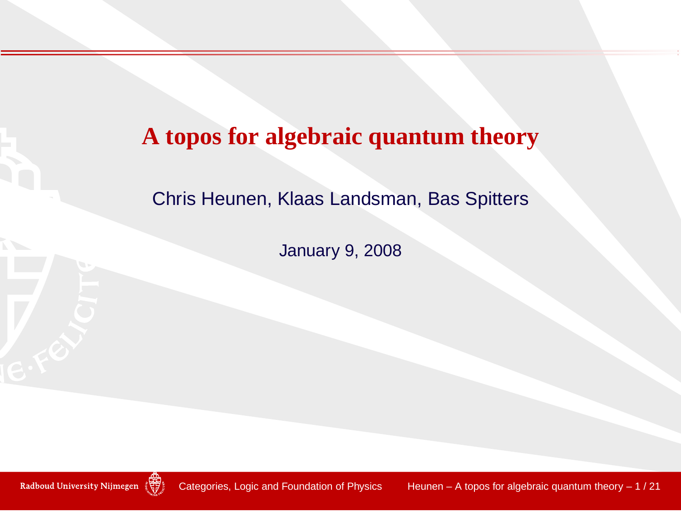#### **A topos for algebraic quantum theory**

#### Chris Heunen, Klaas Landsman, Bas Spitters

January 9, 2008

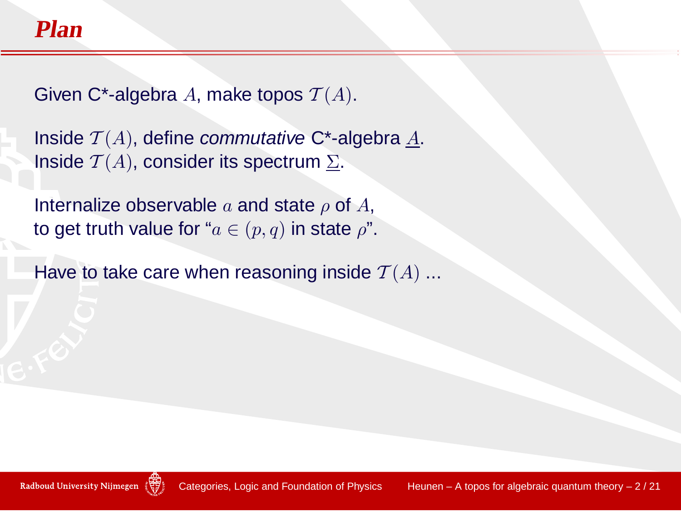Given C\*-algebra  $A$ , make topos  $\mathcal{T}(A).$ 

```
Inside \mathcal{T}(A), define commutative C*-algebra <u>A</u>.
Inside \mathcal{T}(A), consider its spectrum \underline{\Sigma}.
```
Internalize observable  $a$  and state  $\rho$  of  $A,$ to get truth value for " $a\in (p,q)$  in state  $\rho$ ".

Have to take care when reasoning inside  $\mathcal{T}(A)$  ...

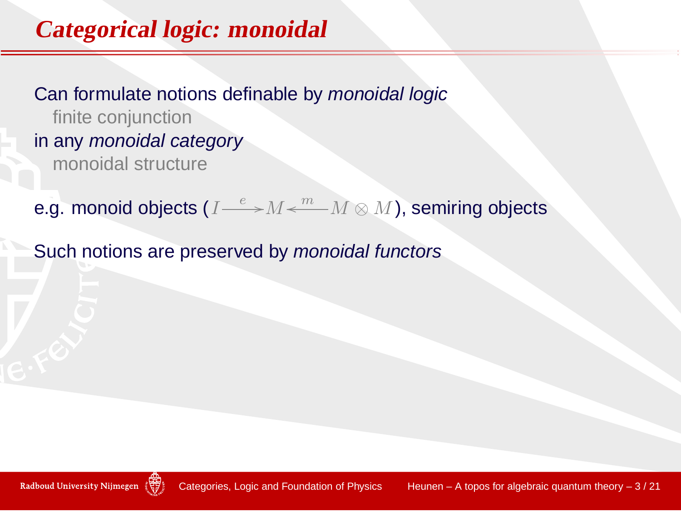### **Categorical logic: monoidal**

Can formulate notions definable by monoidal logic finite conjunctionin any *monoidal category* monoidal structure

e.g. monoid objects (  $I\frac{e}{e}$  $\blacktriangleright M \triangleleft^m M \otimes M$  $\frac{m}{M}\infty M$  ), semiring objects

Such notions are preserved by *monoidal functors* 

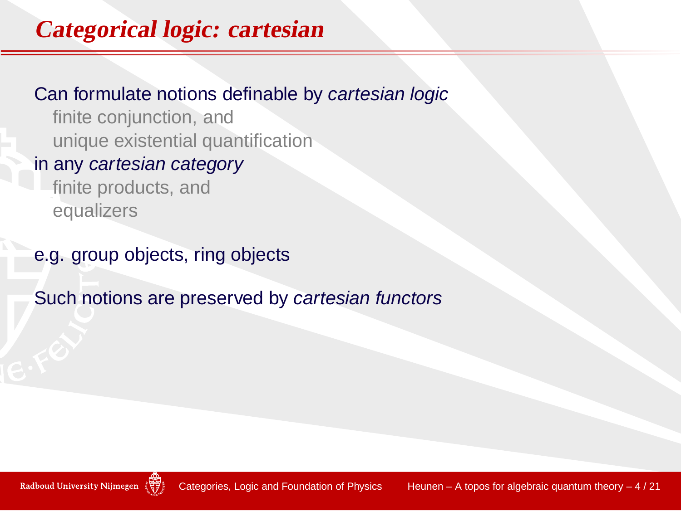## **Categorical logic: cartesian**

Can formulate notions definable by *cartesian logic* 

finite conjunction, andunique existential quantification

#### in any *cartesian category*

finite products, andequalizers

e.g. group objects, ring objects

Such notions are preserved by *cartesian functors* 

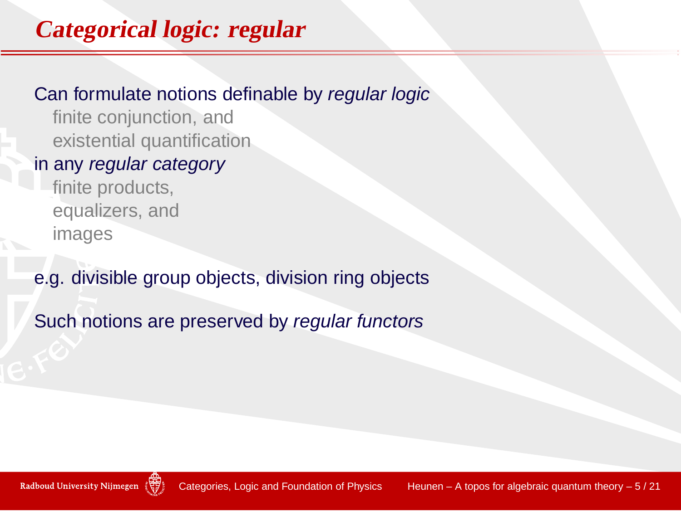## **Categorical logic: regular**

#### Can formulate notions definable by *regular logic*

finite conjunction, andexistential quantification

#### in any *regular category*

finite products, equalizers, andimages

e.g. divisible group objects, division ring objects

Such notions are preserved by *regular functors* 

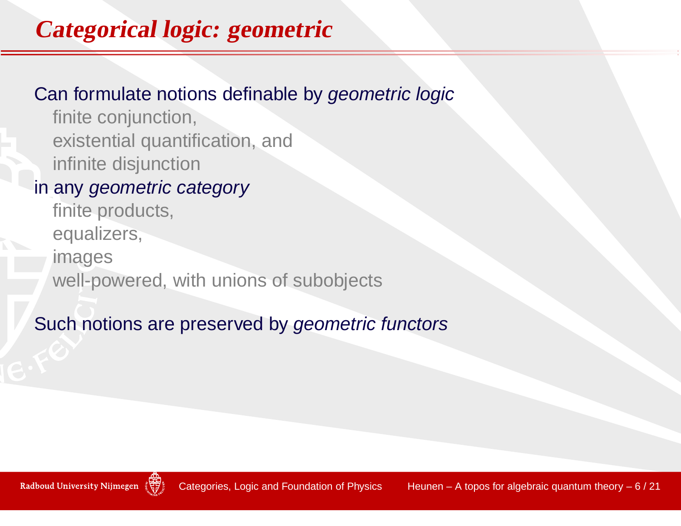## **Categorical logic: geometric**

#### Can formulate notions definable by geometric logic

finite conjunction, existential quantification, andinfinite disjunction

#### in any geometric category

finite products, equalizers,imageswell-powered, with unions of subobjects

### Such notions are preserved by *geometric functors*

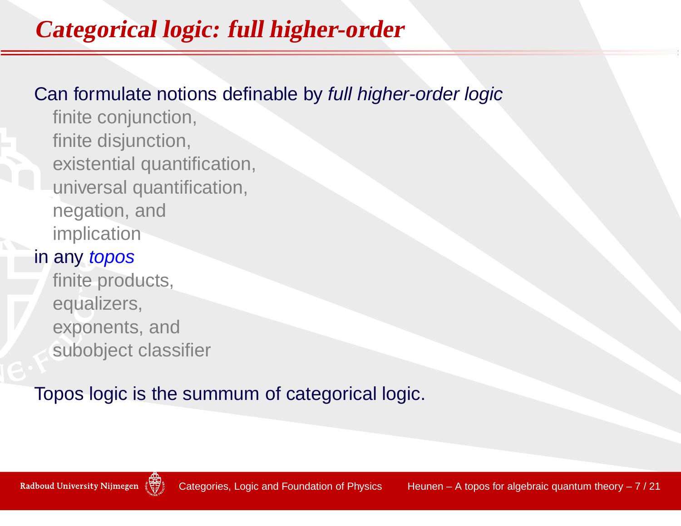## **Categorical logic: full higher-order**

#### Can formulate notions definable by full higher-order logic

finite conjunction, finite disjunction, existential quantification, universal quantification, negation, andimplication

#### in any *topos*

finite products, equalizers,exponents, andsubobject classifier

Topos logic is the summum of categorical logic.

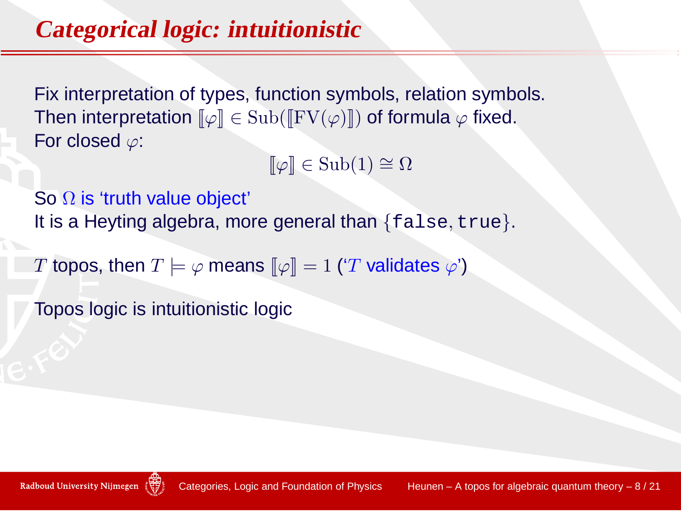### **Categorical logic: intuitionistic**

Fix interpretation of types, function symbols, relation symbols. Then interpretation  $[\![\varphi]\!] \in \mathrm{Sub}([\![\mathrm{FV}(\varphi)]\!])$  of formula  $\varphi$  fixed. For closed  $\varphi$ :

 $[\![\varphi]\!] \in \mathrm{Sub}(1) \cong \Omega$ 

So  $\Omega$  is 'truth value object'

It is a Heyting algebra, more general than  $\{{\tt false}, {\tt true}\}.$ 

 $T$  topos, then  $T \models \varphi$  means  $\llbracket \varphi \rrbracket = 1$  (' $T$  validates  $\varphi$ ')

Topos logic is intuitionistic logic

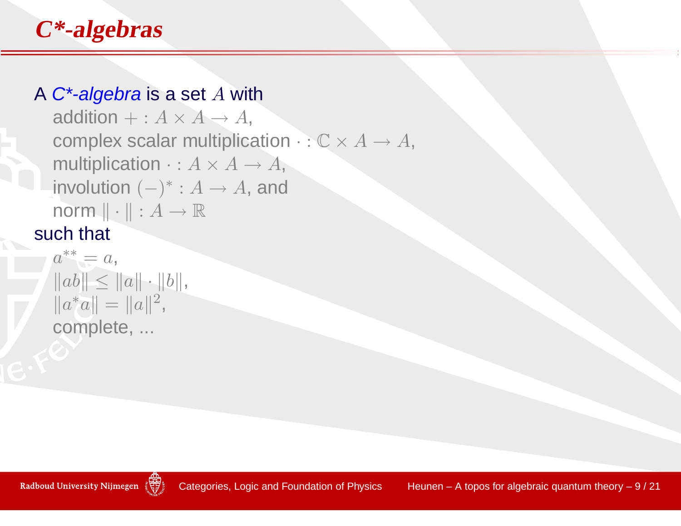## **C\*-algebras**

## A *C\*-algebra* is a set A with

 ${\sf addition} + : A \times A \to A,$ complex scalar multiplic complex scalar multiplication  $\cdot : \mathbb{C} \times A \rightarrow A$ ,<br>multiplication  $\cdot : A \times A \rightarrow A$ multiplication  $\cdot : A \times A \rightarrow A,$ involution  $(-)^* \cdot A \rightarrow A$  and involution  $(-)^{*}:A\to A,$  and<br>norm  $\mathbb{L}.\mathbb{L}:A\to\mathbb{R}$ norm  $\| \cdot \| : A \rightarrow \mathbb{R}$ ch that such that

$$
a^{**} = a,
$$
  
\n
$$
||ab|| \le ||a|| \cdot ||b||,
$$
  
\n
$$
||a^*a|| = ||a||^2,
$$
  
\ncomplete, ...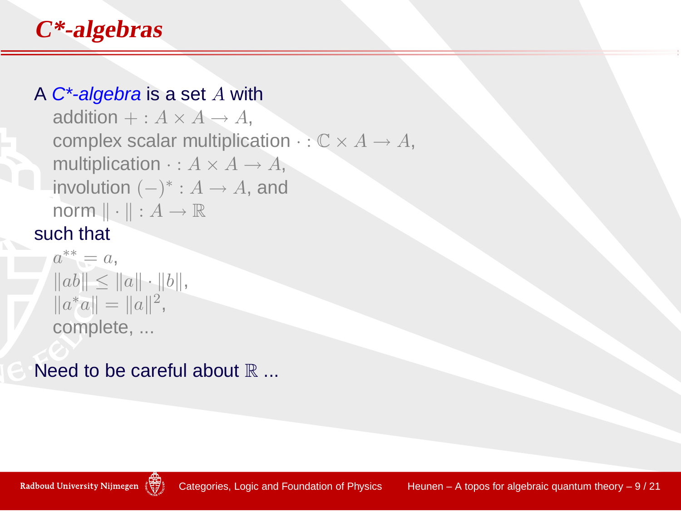### **C\*-algebras**

## A *C\*-algebra* is a set A with

 ${\sf addition} + : A \times A \to A,$ complex scalar multiplic complex scalar multiplication  $\cdot : \mathbb{C} \times A \rightarrow A$ ,<br>multiplication  $\cdot : A \times A \rightarrow A$ multiplication  $\cdot : A \times A \rightarrow A,$ involution  $(-)^* \cdot A \rightarrow A$  and involution  $(-)^{*}:A\to A,$  and<br>norm  $\mathbb{L}.\mathbb{L}:A\to\mathbb{R}$ norm  $\| \cdot \| : A \rightarrow \mathbb{R}$ ch that such that

 $a^{**} = a,$  $\|ab\| \leq \|a\| \cdot \|b\|,$  $||a^*a|| = ||a||^2,$ complete, ...

Need to be careful about  $\mathbb R$ ...

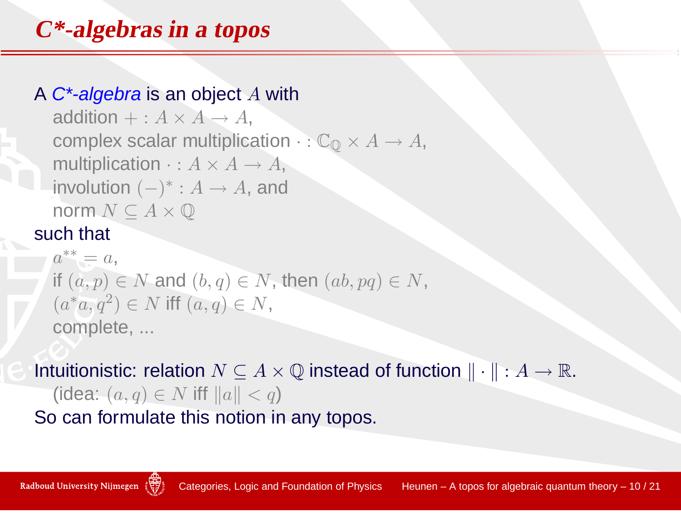## **C\*-algebras in <sup>a</sup> topos**

## A C\*-algebra is an object A with

 ${\sf addition} + : A \times A \to A,$ complex scalar multiplic complex scalar multiplication  $\cdot: \mathbb{C}_\mathbb{Q}\times A \rightarrow A,$ multiplication  $\cdot: A\times A \rightarrow A$ multiplication  $\cdot : A \times A \rightarrow A,$ involution  $(-)^* \cdot A \rightarrow A$  and involution  $(-)^{*}:A\to A,$  and<br>norm  $N\subset A\times\mathbb{O}$  $\mathsf{norm}\ N\subseteq A\times\mathbb{Q}$ such that

 $a^{**} = a,$ if  $(a, p) \in N$  and  $(b, q) \in N$ , then  $(ab, pq) \in N$ ,<br> $(a * q) = M$  if  $(a * q) = M$  $(a^*a, q^2) \in N$  iff  $(a, q) \in N$ , complete, ...

Intuitionistic: relation  $N \subseteq A \times \mathbb{Q}$  instead of function  $\|\cdot\| : A \to \mathbb{R}$ .<br>(idea:  $(a, a) \in N$  iff  $\|a\| < a$ ) (idea:  $(a,q) \in N$  iff  $\|a\| < q$ ) So can formulate this notion in any topos.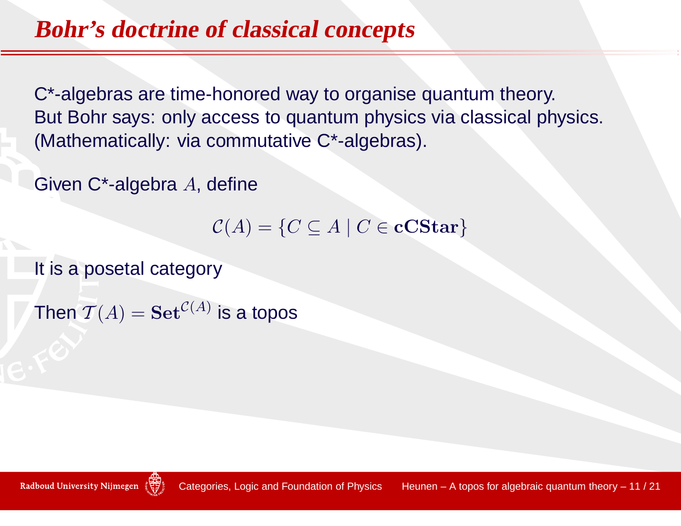#### **Bohr's doctrine of classical concepts**

C\*-algebras are time-honored way to organise quantum theory. But Bohr says: only access to quantum physics via classical physics. (Mathematically: via commutative C\*-algebras).

Given C\*-algebra  $A$ , define

 $\mathcal{C}(A) = \{C \subseteq A \mid C \in \mathbf{cCStar}\}$ 

It is <sup>a</sup> posetal category

Then  $\mathcal{T}(A) = \mathbf{Set}^{\mathcal{C}(A)}$  is a topos

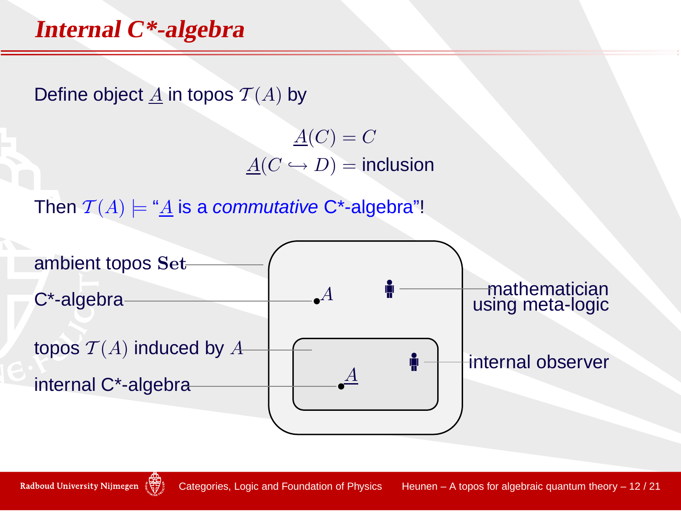#### **Internal C\*-algebra**

Define object  $\underline{A}$  in topos  $\mathcal{T}(A)$  by

 $\underline{A}(C)=C$  $\underline{A}(C \hookrightarrow D) = \text{inclusion}$ 

Then  $\mathcal{T}(A)\models \text{``}\underline{A}$  is a *commutative* C\*-algebra"!

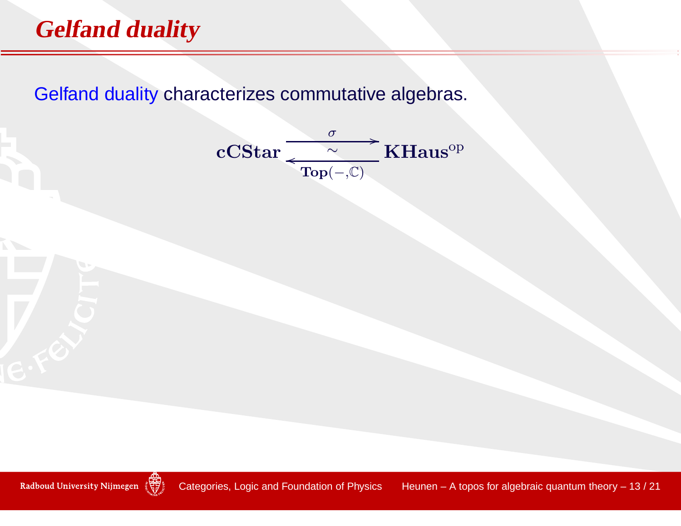Gelfand duality characterizes commutative algebras.

$$
\displaystyle \mathop{\bf cCStar} \frac{\sigma}{\longleftarrow} \displaystyle \frac{\displaystyle \mathop{\bf \sum}\limits_{\gamma \in \mathbf{D}(\mathcal{A}, \mathbb{C})} \mathbf{KHaus}^{\rm op}} \mathop{\bf KHaus}^{\rm op}
$$

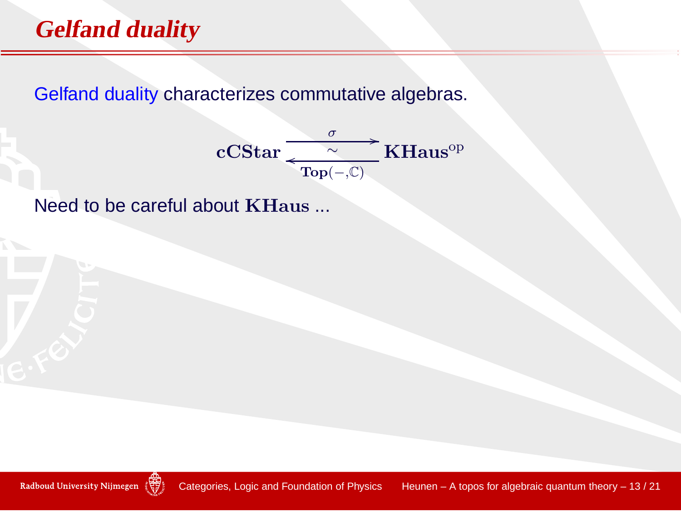### **Gelfand duality**

Gelfand duality characterizes commutative algebras.

$$
\mathbf{cCStar} \xrightarrow{\sigma} \mathbf{KHaus}^{op}
$$

Need to be careful about KHaus ...

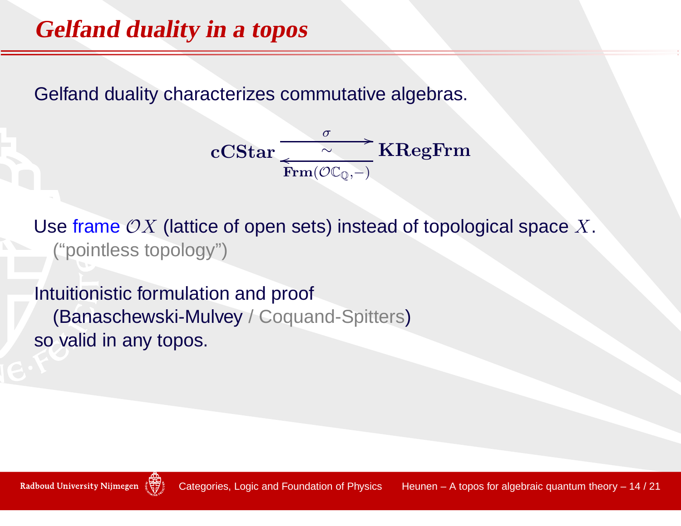#### **Gelfand duality in <sup>a</sup> topos**

Gelfand duality characterizes commutative algebras.



Use frame  $\mathcal{O} X$  (lattice of open sets) instead of topological space  $X.$ <br>("neintless topology") ("pointless topology")

Intuitionistic formulation and proof (Banaschewski-Mulvey / Coquand-Spitters)so valid in any topos.

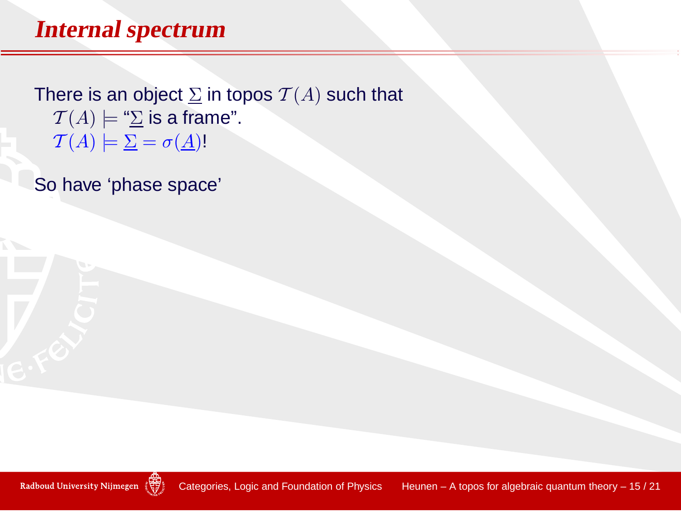#### **Internal spectrum**

There is an object  $\Sigma$  in topos  $\mathcal{T}(A)$  such that  $\mathcal{T}(A) \models \overset{\omega}{\Sigma}$  is a frame".  $\mathcal{T}(A) \models \underline{\Sigma} = \sigma(\underline{A})!$ 

So have 'phase space'

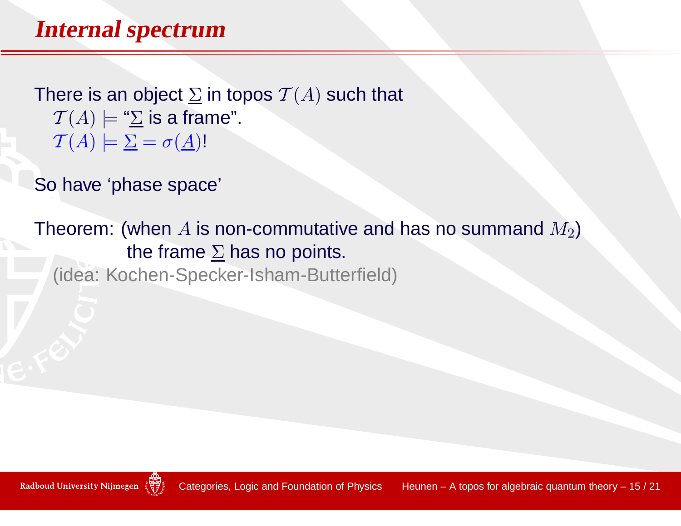#### **Internal spectrum**

There is an object  $\Sigma$  in topos  $\mathcal{T}(A)$  such that  $\mathcal{T}(A) \models \overset{\omega}{\Sigma}$  is a frame".  $\mathcal{T}(A) \models \underline{\Sigma} = \sigma(\underline{A})!$ 

So have 'phase space'

Theorem: (when  $A$  is non-commutative and has no summand  $M_2$ ) the frame  $\Sigma$  has no points. (idea: Kochen-Specker-Isham-Butterfield)

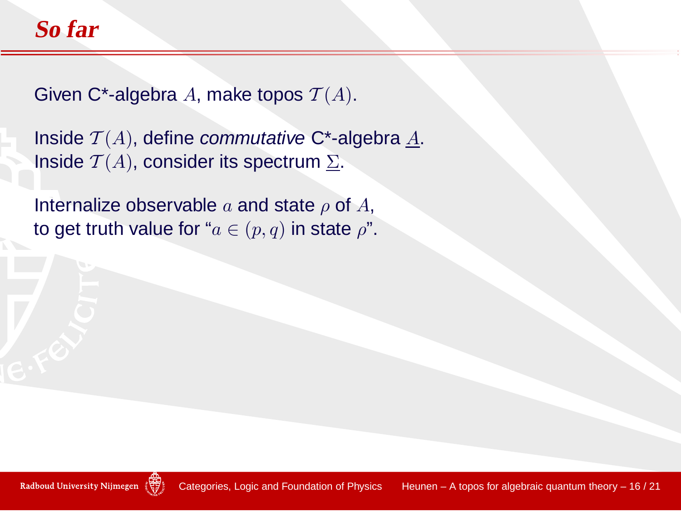Given C\*-algebra  $A$ , make topos  $\mathcal{T}(A).$ 

Inside  $\mathcal{T}(A)$ , define *commutative* C\*-algebra <u>A</u>. Inside  $\mathcal{T}(A)$ , consider its spectrum  $\underline{\Sigma}.$ 

Internalize observable  $a$  and state  $\rho$  of  $A,$ to get truth value for " $a\in (p,q)$  in state  $\rho$ ".

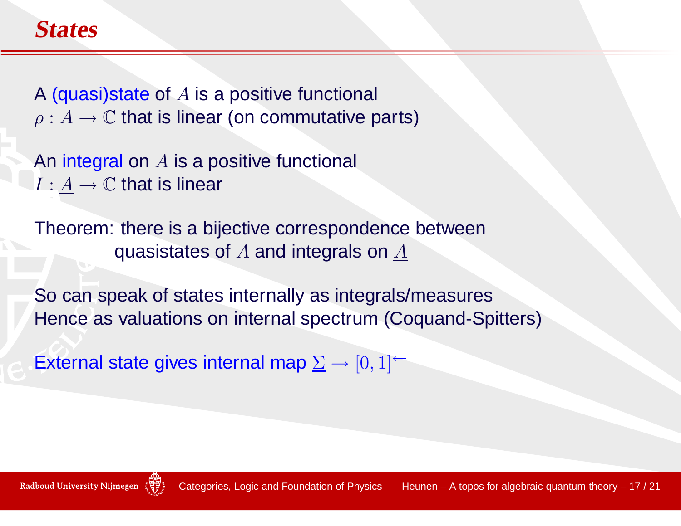#### **States**

A (quasi)state of  $A$  is a positive functional  $\rho: A \rightarrow \mathbb{C}$  that is linear (on commutative parts)

An integral on  $\underline{A}$  is a positive functional  $I:\underline{A}\rightarrow\mathbb{C}$  that is linear

Theorem: there is <sup>a</sup> bijective correspondence betweenquasistates of  $A$  and integrals on  $\underline{A}$ 

So can speak of states internally as integrals/measuresHence as valuations on internal spectrum (Coquand-Spitters)

External state gives internal map  $\Sigma \rightarrow [0,1]^\leftarrow$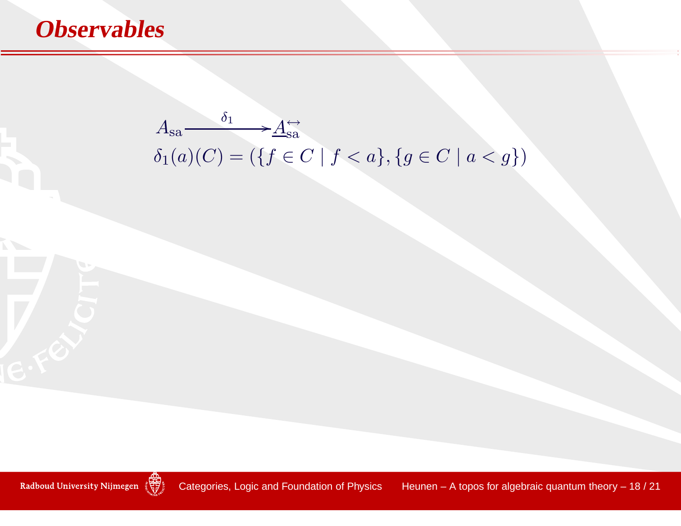

 $A_{\rm sa}$ - $\delta_1 \longrightarrow A_{sa} \leftrightarrow A_{sa}$  $\delta_1(a)(C) = (\{f \in C \mid f < a\}, \{g \in C \mid a < g\})$ 

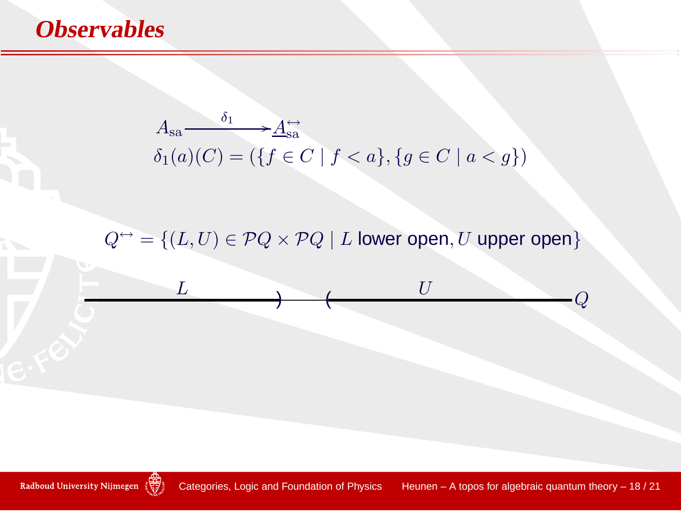





 $\begin{array}{ccc} & & U & \\ \hline & & & \end{array}$ 

 $\begin{picture}(18,17) \put(0,0){\dashbox{0.5}(10,1){10}} \put(10,0){\dashbox{0.5}(10,1){10}} \put(10,0){\dashbox{0.5}(10,1){10}} \put(10,0){\dashbox{0.5}(10,1){10}} \put(10,0){\dashbox{0.5}(10,1){10}} \put(10,0){\dashbox{0.5}(10,1){10}} \put(10,0){\dashbox{0.5}(10,1){10}} \put(10,0){\dashbox{0.5}(10,1){10}} \put(10,0){\dashbox{0.5}(10$ 

 $\overline{Q}$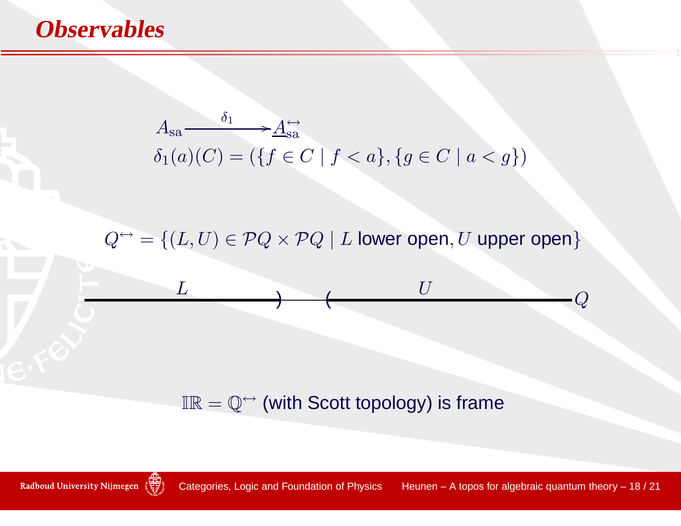



 $\mathbb{IR}=\mathbb{Q}^{\leftrightarrow}$  (with Scott topology) is frame

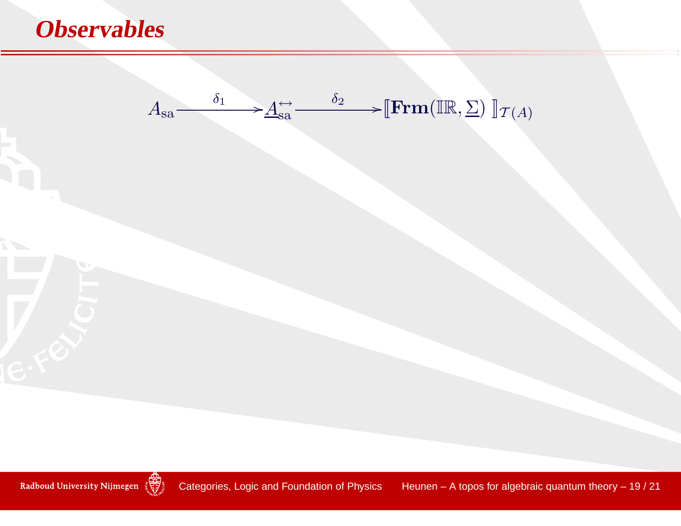



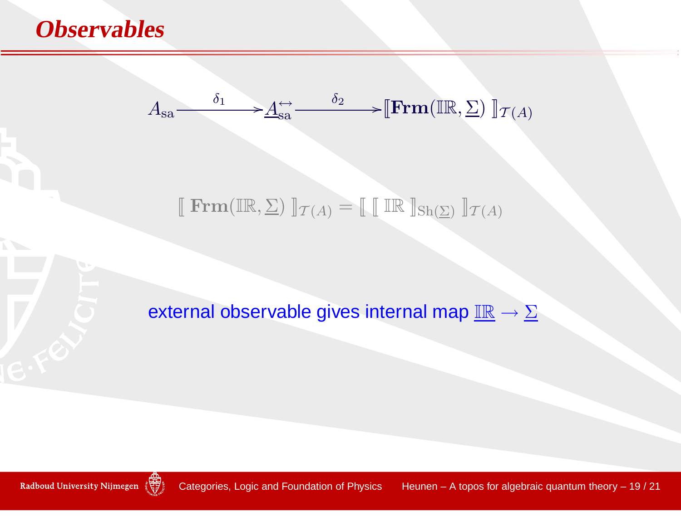



## $\llbracket \ \mathbf{Frm}(\mathbb{IR},\Sigma) \ \rrbracket_{\mathcal{T}(A)} = \llbracket \ \llbracket \ \mathbb{IR} \ \rrbracket_{\mathrm{Sh}(\Sigma)} \ \rrbracket_{\mathcal{T}(A)}$

# external observable gives internal map  $\text{\rm \underline{I\!R}}\to \Sigma$

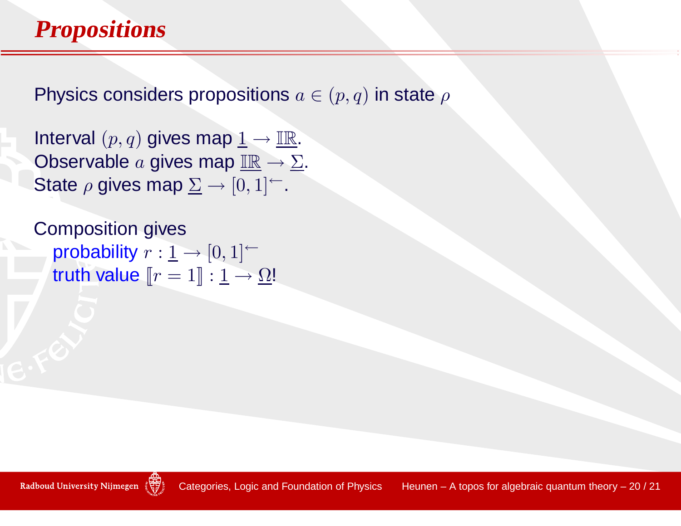## **Propositions**

Physics considers propositions  $a\in(p,q)$  in state  $\rho$ 

Interval  $(p,q)$  gives map  $\underline{1}\to \underline{\mathbb{IR}}.$  Observable  $a$  gives man  $\mathbb{IR}\to \Sigma$ Observable  $a$  gives map  $\text{\underline{I\!R}} \to \Sigma.$ State  $a$  gives man  $\Sigma \to [0,1]^\leftarrow$ State  $\rho$  gives map  $\Sigma \rightarrow [0,1]^\leftarrow$ .

Composition givesprobability  $r: \underline{1} \to [0,1]^\leftarrow$ truth value  $\llbracket r = 1 \rrbracket : \underline{1} \to \underline{\Omega}!$